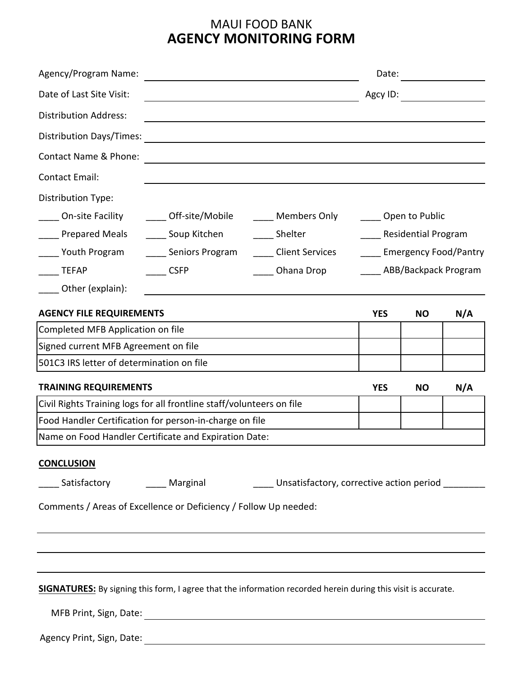## MAUI FOOD BANK **AGENCY MONITORING FORM**

| Agency/Program Name:                                                                                          |                                                                                                     |                                                                                                                                                                                                                               | Date:                                          |           |     |
|---------------------------------------------------------------------------------------------------------------|-----------------------------------------------------------------------------------------------------|-------------------------------------------------------------------------------------------------------------------------------------------------------------------------------------------------------------------------------|------------------------------------------------|-----------|-----|
| Date of Last Site Visit:                                                                                      |                                                                                                     | <u> 1980 - Johann Barn, amerikan besteman besteman besteman besteman besteman besteman besteman besteman besteman</u>                                                                                                         | Agcy ID:                                       |           |     |
| <b>Distribution Address:</b>                                                                                  |                                                                                                     |                                                                                                                                                                                                                               |                                                |           |     |
| <b>Distribution Days/Times:</b>                                                                               |                                                                                                     | the control of the control of the control of the control of the control of the control of the control of the control of the control of the control of the control of the control of the control of the control of the control |                                                |           |     |
| Contact Name & Phone:                                                                                         |                                                                                                     |                                                                                                                                                                                                                               |                                                |           |     |
| <b>Contact Email:</b>                                                                                         |                                                                                                     |                                                                                                                                                                                                                               |                                                |           |     |
| Distribution Type:                                                                                            |                                                                                                     |                                                                                                                                                                                                                               |                                                |           |     |
| On-site Facility                                                                                              | _____ Off-site/Mobile                                                                               | _____ Members Only                                                                                                                                                                                                            | _____ Open to Public                           |           |     |
| ___ Prepared Meals                                                                                            | ______ Soup Kitchen ________ Shelter                                                                |                                                                                                                                                                                                                               | Residential Program                            |           |     |
| ___ Youth Program                                                                                             | _____ Seniors Program                                                                               |                                                                                                                                                                                                                               | ____ Client Services ___ Emergency Food/Pantry |           |     |
| <b>TEFAP</b>                                                                                                  | <b>CSFP</b>                                                                                         | Ohana Drop                                                                                                                                                                                                                    | ABB/Backpack Program                           |           |     |
| Other (explain):                                                                                              |                                                                                                     |                                                                                                                                                                                                                               |                                                |           |     |
| <b>AGENCY FILE REQUIREMENTS</b>                                                                               |                                                                                                     |                                                                                                                                                                                                                               | <b>YES</b>                                     | <b>NO</b> | N/A |
| Completed MFB Application on file                                                                             |                                                                                                     |                                                                                                                                                                                                                               |                                                |           |     |
| Signed current MFB Agreement on file                                                                          |                                                                                                     |                                                                                                                                                                                                                               |                                                |           |     |
| 501C3 IRS letter of determination on file                                                                     |                                                                                                     |                                                                                                                                                                                                                               |                                                |           |     |
| <b>TRAINING REQUIREMENTS</b>                                                                                  |                                                                                                     |                                                                                                                                                                                                                               | <b>YES</b>                                     | <b>NO</b> | N/A |
| Civil Rights Training logs for all frontline staff/volunteers on file                                         |                                                                                                     |                                                                                                                                                                                                                               |                                                |           |     |
| Food Handler Certification for person-in-charge on file                                                       |                                                                                                     |                                                                                                                                                                                                                               |                                                |           |     |
| Name on Food Handler Certificate and Expiration Date:                                                         |                                                                                                     |                                                                                                                                                                                                                               |                                                |           |     |
| <b>CONCLUSION</b>                                                                                             |                                                                                                     |                                                                                                                                                                                                                               |                                                |           |     |
|                                                                                                               | __Satisfactory     ______ Marginal       ______ Unsatisfactory, corrective action period __________ |                                                                                                                                                                                                                               |                                                |           |     |
|                                                                                                               |                                                                                                     |                                                                                                                                                                                                                               |                                                |           |     |
| Comments / Areas of Excellence or Deficiency / Follow Up needed:                                              |                                                                                                     |                                                                                                                                                                                                                               |                                                |           |     |
|                                                                                                               |                                                                                                     |                                                                                                                                                                                                                               |                                                |           |     |
|                                                                                                               |                                                                                                     |                                                                                                                                                                                                                               |                                                |           |     |
|                                                                                                               |                                                                                                     |                                                                                                                                                                                                                               |                                                |           |     |
| SIGNATURES: By signing this form, I agree that the information recorded herein during this visit is accurate. |                                                                                                     |                                                                                                                                                                                                                               |                                                |           |     |
|                                                                                                               |                                                                                                     |                                                                                                                                                                                                                               |                                                |           |     |

Agency Print, Sign, Date: 2008. 2009. 2010. 2010. 2010. 2010. 2010. 2010. 2011. 2012. 2014. 2016. 2017. 2018. 2019. 2019. 2019. 2019. 2019. 2019. 2019. 2019. 2019. 2019. 2019. 2019. 2019. 2019. 2019. 2019. 2019. 2019. 2019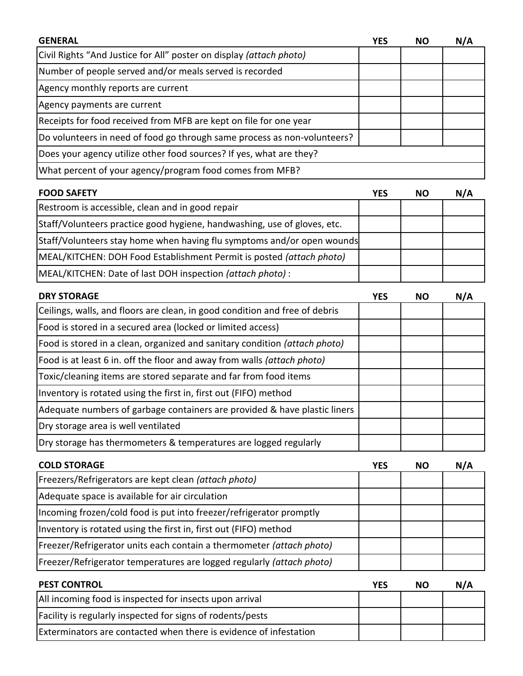| <b>GENERAL</b>                                                              | <b>YES</b> | <b>NO</b> | N/A |
|-----------------------------------------------------------------------------|------------|-----------|-----|
| Civil Rights "And Justice for All" poster on display (attach photo)         |            |           |     |
| Number of people served and/or meals served is recorded                     |            |           |     |
| Agency monthly reports are current                                          |            |           |     |
| Agency payments are current                                                 |            |           |     |
| Receipts for food received from MFB are kept on file for one year           |            |           |     |
| Do volunteers in need of food go through same process as non-volunteers?    |            |           |     |
| Does your agency utilize other food sources? If yes, what are they?         |            |           |     |
| What percent of your agency/program food comes from MFB?                    |            |           |     |
| <b>FOOD SAFETY</b>                                                          | <b>YES</b> | <b>NO</b> | N/A |
| Restroom is accessible, clean and in good repair                            |            |           |     |
| Staff/Volunteers practice good hygiene, handwashing, use of gloves, etc.    |            |           |     |
| Staff/Volunteers stay home when having flu symptoms and/or open wounds      |            |           |     |
| MEAL/KITCHEN: DOH Food Establishment Permit is posted (attach photo)        |            |           |     |
| MEAL/KITCHEN: Date of last DOH inspection (attach photo) :                  |            |           |     |
| <b>DRY STORAGE</b>                                                          | <b>YES</b> | <b>NO</b> | N/A |
| Ceilings, walls, and floors are clean, in good condition and free of debris |            |           |     |
| Food is stored in a secured area (locked or limited access)                 |            |           |     |
| Food is stored in a clean, organized and sanitary condition (attach photo)  |            |           |     |
| Food is at least 6 in. off the floor and away from walls (attach photo)     |            |           |     |
| Toxic/cleaning items are stored separate and far from food items            |            |           |     |
| Inventory is rotated using the first in, first out (FIFO) method            |            |           |     |
| Adequate numbers of garbage containers are provided & have plastic liners   |            |           |     |
| Dry storage area is well ventilated                                         |            |           |     |
| Dry storage has thermometers & temperatures are logged regularly            |            |           |     |
| <b>COLD STORAGE</b>                                                         | <b>YES</b> | <b>NO</b> | N/A |
| Freezers/Refrigerators are kept clean (attach photo)                        |            |           |     |
| Adequate space is available for air circulation                             |            |           |     |
| Incoming frozen/cold food is put into freezer/refrigerator promptly         |            |           |     |
| Inventory is rotated using the first in, first out (FIFO) method            |            |           |     |
| Freezer/Refrigerator units each contain a thermometer (attach photo)        |            |           |     |
| Freezer/Refrigerator temperatures are logged regularly (attach photo)       |            |           |     |
| <b>PEST CONTROL</b>                                                         |            | <b>NO</b> | N/A |
| All incoming food is inspected for insects upon arrival                     | <b>YES</b> |           |     |
| Facility is regularly inspected for signs of rodents/pests                  |            |           |     |
| Exterminators are contacted when there is evidence of infestation           |            |           |     |